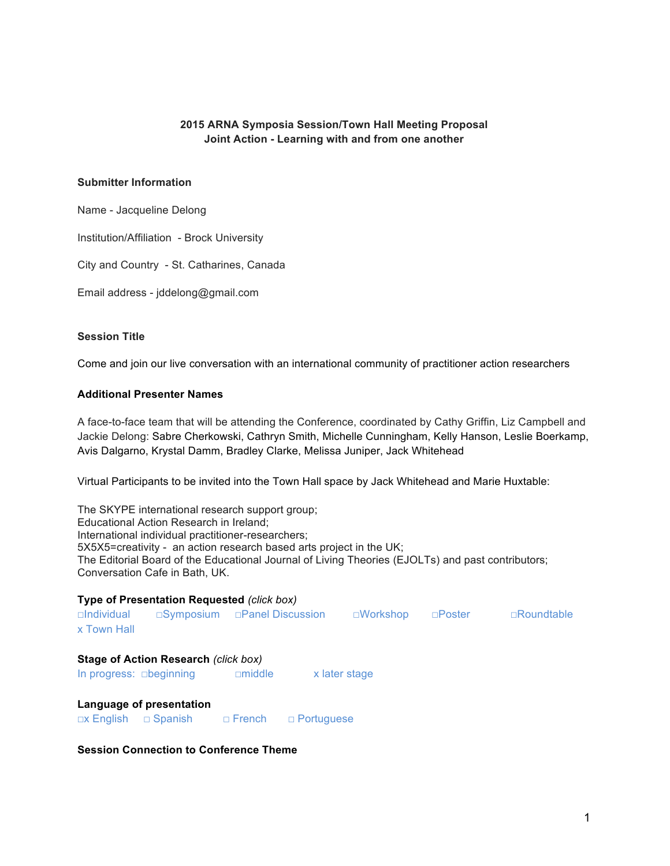### **2015 ARNA Symposia Session/Town Hall Meeting Proposal Joint Action - Learning with and from one another**

#### **Submitter Information**

Name - Jacqueline Delong

Institution/Affiliation - Brock University

City and Country - St. Catharines, Canada

Email address - jddelong@gmail.com

### **Session Title**

Come and join our live conversation with an international community of practitioner action researchers

#### **Additional Presenter Names**

A face-to-face team that will be attending the Conference, coordinated by Cathy Griffin, Liz Campbell and Jackie Delong: Sabre Cherkowski, Cathryn Smith, Michelle Cunningham, Kelly Hanson, Leslie Boerkamp, Avis Dalgarno, Krystal Damm, Bradley Clarke, Melissa Juniper, Jack Whitehead

Virtual Participants to be invited into the Town Hall space by Jack Whitehead and Marie Huxtable:

The SKYPE international research support group; Educational Action Research in Ireland; International individual practitioner-researchers; 5X5X5=creativity - an action research based arts project in the UK; The Editorial Board of the Educational Journal of Living Theories (EJOLTs) and past contributors; Conversation Cafe in Bath, UK.

| <b>Type of Presentation Requested (click box)</b><br>$\Box$ Symposium $\Box$ Panel Discussion |                                             |               |                   |                    |               |                   |
|-----------------------------------------------------------------------------------------------|---------------------------------------------|---------------|-------------------|--------------------|---------------|-------------------|
| $\Box$ Individual<br>x Town Hall                                                              |                                             |               |                   | $\square$ Workshop | $\Box$ Poster | $\Box$ Roundtable |
| In progress: <b>obeginning</b>                                                                | <b>Stage of Action Research (click box)</b> | $\Box$ middle | x later stage     |                    |               |                   |
| Language of presentation<br>$\Box$ x English                                                  | □ Spanish □ French                          |               | $\Box$ Portuguese |                    |               |                   |

**Session Connection to Conference Theme**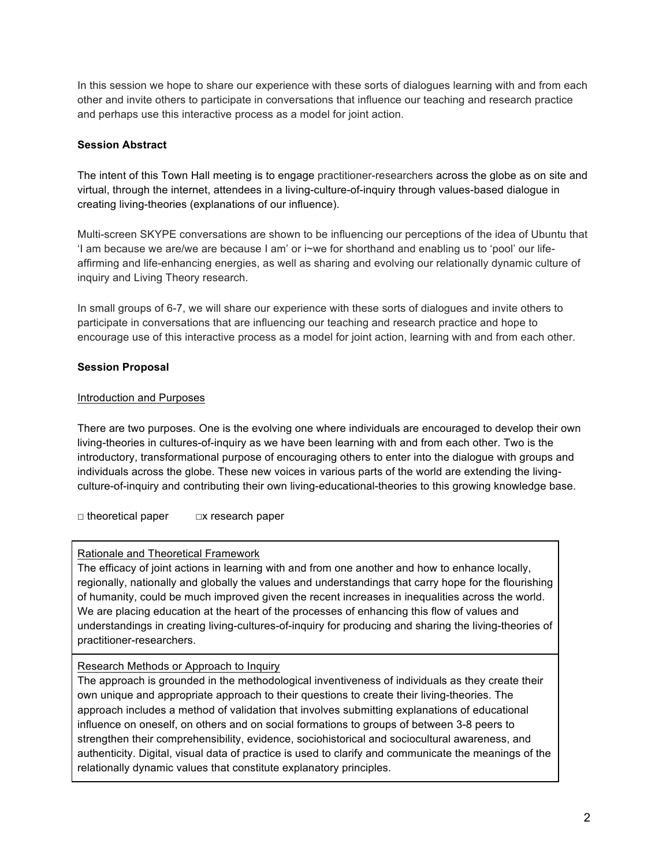In this session we hope to share our experience with these sorts of dialogues learning with and from each other and invite others to participate in conversations that influence our teaching and research practice and perhaps use this interactive process as a model for joint action.

### **Session Abstract**

The intent of this Town Hall meeting is to engage practitioner-researchers across the globe as on site and virtual, through the internet, attendees in a living-culture-of-inquiry through values-based dialogue in creating living-theories (explanations of our influence).

Multi-screen SKYPE conversations are shown to be influencing our perceptions of the idea of Ubuntu that 'I am because we are/we are because I am' or i~we for shorthand and enabling us to 'pool' our lifeaffirming and life-enhancing energies, as well as sharing and evolving our relationally dynamic culture of inquiry and Living Theory research.

In small groups of 6-7, we will share our experience with these sorts of dialogues and invite others to participate in conversations that are influencing our teaching and research practice and hope to encourage use of this interactive process as a model for joint action, learning with and from each other.

## **Session Proposal**

### Introduction and Purposes

There are two purposes. One is the evolving one where individuals are encouraged to develop their own living-theories in cultures-of-inquiry as we have been learning with and from each other. Two is the introductory, transformational purpose of encouraging others to enter into the dialogue with groups and individuals across the globe. These new voices in various parts of the world are extending the livingculture-of-inquiry and contributing their own living-educational-theories to this growing knowledge base.

□ theoretical paper □ □x research paper

### Rationale and Theoretical Framework

The efficacy of joint actions in learning with and from one another and how to enhance locally, regionally, nationally and globally the values and understandings that carry hope for the flourishing of humanity, could be much improved given the recent increases in inequalities across the world. We are placing education at the heart of the processes of enhancing this flow of values and understandings in creating living-cultures-of-inquiry for producing and sharing the living-theories of practitioner-researchers.

### Research Methods or Approach to Inquiry

The approach is grounded in the methodological inventiveness of individuals as they create their own unique and appropriate approach to their questions to create their living-theories. The approach includes a method of validation that involves submitting explanations of educational influence on oneself, on others and on social formations to groups of between 3-8 peers to strengthen their comprehensibility, evidence, sociohistorical and sociocultural awareness, and authenticity. Digital, visual data of practice is used to clarify and communicate the meanings of the relationally dynamic values that constitute explanatory principles.